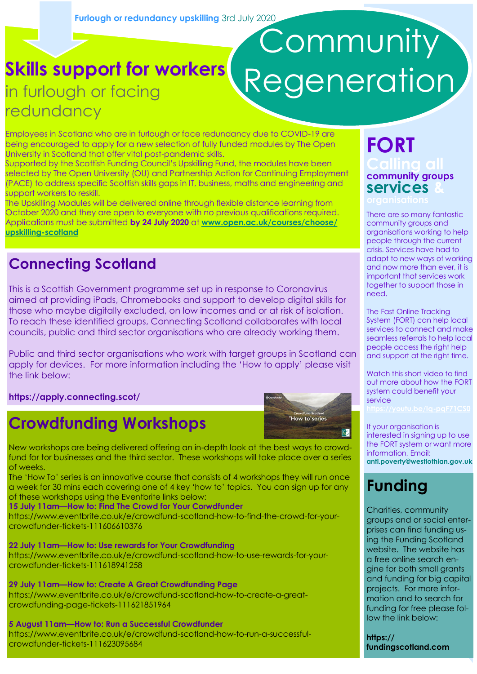# **Community Regeneration**

**Skills support for workers**  in furlough or facing redundancy

Employees in Scotland who are in furlough or face redundancy due to COVID-19 are being encouraged to apply for a new selection of fully funded modules by The Open University in Scotland that offer vital post-pandemic skills.

Supported by the Scottish Funding Council's Upskilling Fund, the modules have been selected by The Open University (OU) and Partnership Action for Continuing Employment (PACE) to address specific Scottish skills gaps in IT, business, maths and engineering and support workers to reskill.

The Upskilling Modules will be delivered online through flexible distance learning from October 2020 and they are open to everyone with no previous qualifications required. Applications must be submitted **by 24 July 2020** at **[www.open.ac.uk/courses/choose/](http://www.open.ac.uk/courses/choose/upskilling-scotland) [upskilling-scotland](http://www.open.ac.uk/courses/choose/upskilling-scotland)**

#### **Connecting Scotland**

This is a Scottish Government programme set up in response to Coronavirus aimed at providing iPads, Chromebooks and support to develop digital skills for those who maybe digitally excluded, on low incomes and or at risk of isolation. To reach these identified groups, Connecting Scotland collaborates with local councils, public and third sector organisations who are already working them.

Public and third sector organisations who work with target groups in Scotland can apply for devices. For more information including the 'How to apply' please visit the link below:

**https://apply.connecting.scot/**

#### **Crowdfunding Workshops**



New workshops are being delivered offering an in-depth look at the best ways to crowdfund for tor businesses and the third sector. These workshops will take place over a series of weeks.

The 'How To' series is an innovative course that consists of 4 workshops they will run once a week for 30 mins each covering one of 4 key 'how to' topics. You can sign up for any of these workshops using the Eventbrite links below:

**15 July 11am—How to: Find The Crowd for Your Corwdfunder**

https://www.eventbrite.co.uk/e/crowdfund-scotland-how-to-find-the-crowd-for-yourcrowdfunder-tickets-111606610376

**22 July 11am—How to: Use rewards for Your Crowdfunding** https://www.eventbrite.co.uk/e/crowdfund-scotland-how-to-use-rewards-for-yourcrowdfunder-tickets-111618941258

**29 July 11am—How to: Create A Great Crowdfunding Page** https://www.eventbrite.co.uk/e/crowdfund-scotland-how-to-create-a-greatcrowdfunding-page-tickets-111621851964

**5 August 11am—How to: Run a Successful Crowdfunder** https://www.eventbrite.co.uk/e/crowdfund-scotland-how-to-run-a-successfulcrowdfunder-tickets-111623095684

# **FORT community groups services &**

There are so many fantastic community groups and organisations working to help people through the current crisis. Services have had to adapt to new ways of working and now more than ever, it is important that services work together to support those in need.

The Fast Online Tracking System (FORT) can help local services to connect and make seamless referrals to help local people access the right help and support at the right time.

Watch this short video to find out more about how the FORT system could benefit your service

If your organisation is interested in signing up to use the FORT system or want more information, Email: **[anti.poverty@westlothian.gov.uk](mailto:anti.poverty@westlothian.gov.uk)** 

### **Funding**

Charities, community groups and or social enterprises can find funding using the Funding Scotland website. The website has a free online search engine for both small grants and funding for big capital projects. For more information and to search for funding for free please follow the link below:

**https:// fundingscotland.com**